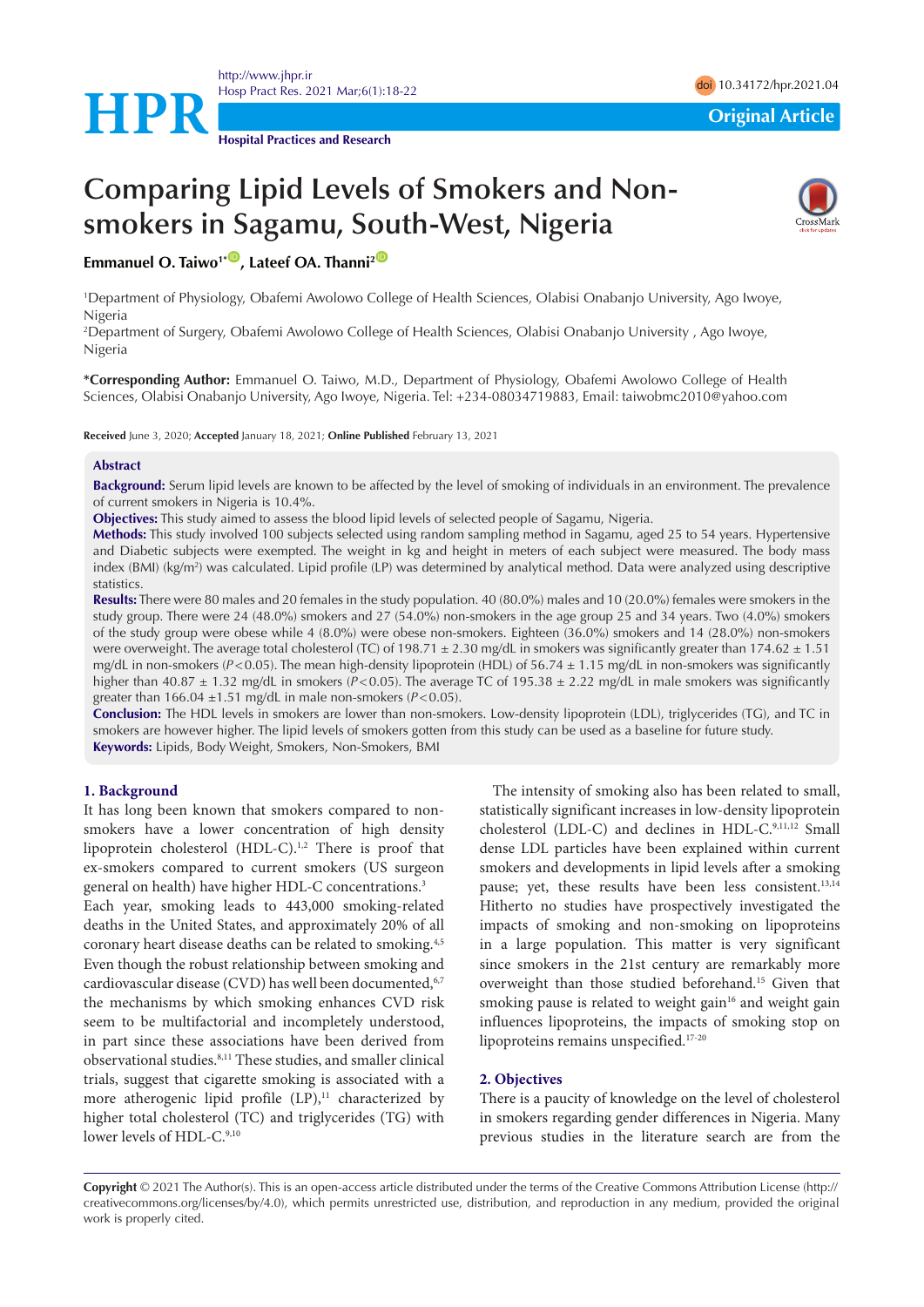

**Hospital Practices and Research**

# **Comparing Lipid Levels of Smokers and Nonsmokers in Sagamu, South-West, Nigeria**



**Emmanuel O. Taiwo<sup>1\*</sup><sup>10</sup>, Lateef OA. Thanni<sup>2</sup><sup>10</sup>** 

1 Department of Physiology, Obafemi Awolowo College of Health Sciences, Olabisi Onabanjo University, Ago Iwoye, Nigeria

2 Department of Surgery, Obafemi Awolowo College of Health Sciences, Olabisi Onabanjo University , Ago Iwoye, Nigeria

**\*Corresponding Author:** Emmanuel O. Taiwo, M.D., Department of Physiology, Obafemi Awolowo College of Health Sciences, Olabisi Onabanjo University, Ago Iwoye, Nigeria. Tel: +234-08034719883, Email: taiwobmc2010@yahoo.com

**Received** June 3, 2020; **Accepted** January 18, 2021; **Online Published** February 13, 2021

## **Abstract**

**Background:** Serum lipid levels are known to be affected by the level of smoking of individuals in an environment. The prevalence of current smokers in Nigeria is 10.4%.

**Objectives:** This study aimed to assess the blood lipid levels of selected people of Sagamu, Nigeria.

**Methods:** This study involved 100 subjects selected using random sampling method in Sagamu, aged 25 to 54 years. Hypertensive and Diabetic subjects were exempted. The weight in kg and height in meters of each subject were measured. The body mass index (BMI) (kg/m<sup>2</sup>) was calculated. Lipid profile (LP) was determined by analytical method. Data were analyzed using descriptive statistics.

**Results:** There were 80 males and 20 females in the study population. 40 (80.0%) males and 10 (20.0%) females were smokers in the study group. There were 24 (48.0%) smokers and 27 (54.0%) non-smokers in the age group 25 and 34 years. Two (4.0%) smokers of the study group were obese while 4 (8.0%) were obese non-smokers. Eighteen (36.0%) smokers and 14 (28.0%) non-smokers were overweight. The average total cholesterol (TC) of 198.71  $\pm$  2.30 mg/dL in smokers was significantly greater than 174.62  $\pm$  1.51 mg/dL in non-smokers (*P*<0.05). The mean high-density lipoprotein (HDL) of 56.74 ± 1.15 mg/dL in non-smokers was significantly higher than 40.87 ± 1.32 mg/dL in smokers (*P*<0.05). The average TC of 195.38 ± 2.22 mg/dL in male smokers was significantly greater than  $166.04 \pm 1.51$  mg/dL in male non-smokers ( $P < 0.05$ ).

**Conclusion:** The HDL levels in smokers are lower than non-smokers. Low-density lipoprotein (LDL), triglycerides (TG), and TC in smokers are however higher. The lipid levels of smokers gotten from this study can be used as a baseline for future study. **Keywords:** Lipids, Body Weight, Smokers, Non-Smokers, BMI

#### **1. Background**

It has long been known that smokers compared to nonsmokers have a lower concentration of high density lipoprotein cholesterol (HDL-C).<sup>1,2</sup> There is proof that ex-smokers compared to current smokers (US surgeon general on health) have higher HDL-C concentrations.<sup>3</sup>

Each year, smoking leads to 443,000 smoking-related deaths in the United States, and approximately 20% of all coronary heart disease deaths can be related to smoking.4,5 Even though the robust relationship between smoking and cardiovascular disease (CVD) has well been documented, 6,7 the mechanisms by which smoking enhances CVD risk seem to be multifactorial and incompletely understood, in part since these associations have been derived from observational studies.8,11 These studies, and smaller clinical trials, suggest that cigarette smoking is associated with a more atherogenic lipid profile  $(LP)$ ,<sup>11</sup> characterized by higher total cholesterol (TC) and triglycerides (TG) with lower levels of HDL-C.<sup>9,10</sup>

The intensity of smoking also has been related to small, statistically significant increases in low-density lipoprotein cholesterol (LDL-C) and declines in HDL-C.<sup>9,11,12</sup> Small dense LDL particles have been explained within current smokers and developments in lipid levels after a smoking pause; yet, these results have been less consistent.<sup>13,14</sup> Hitherto no studies have prospectively investigated the impacts of smoking and non-smoking on lipoproteins in a large population. This matter is very significant since smokers in the 21st century are remarkably more overweight than those studied beforehand.15 Given that smoking pause is related to weight gain<sup>16</sup> and weight gain influences lipoproteins, the impacts of smoking stop on lipoproteins remains unspecified.17-20

#### **2. Objectives**

There is a paucity of knowledge on the level of cholesterol in smokers regarding gender differences in Nigeria. Many previous studies in the literature search are from the

**Copyright** © 2021 The Author(s). This is an open-access article distributed under the terms of the Creative Commons Attribution License (http:// creativecommons.org/licenses/by/4.0), which permits unrestricted use, distribution, and reproduction in any medium, provided the original work is properly cited.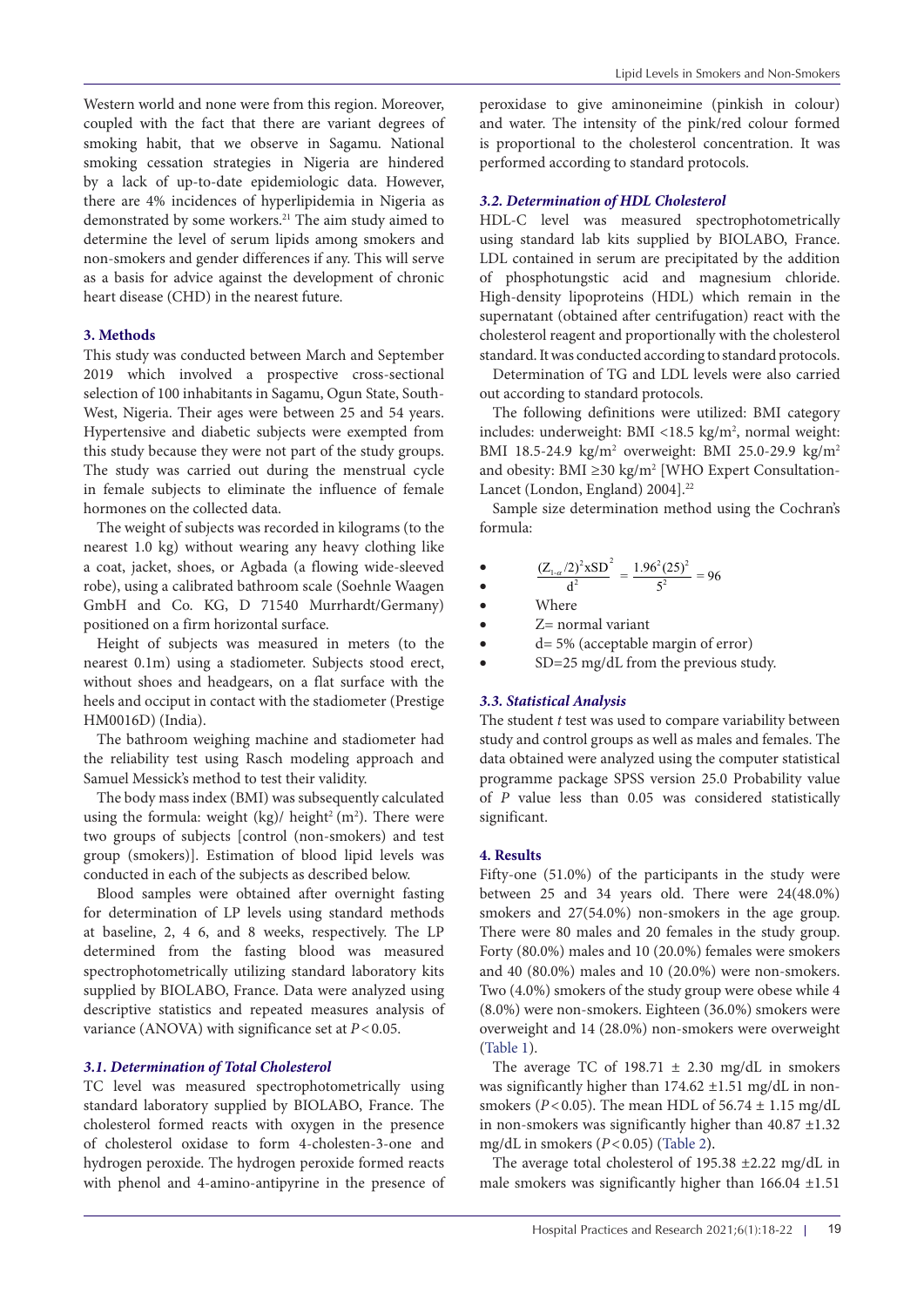Western world and none were from this region. Moreover, coupled with the fact that there are variant degrees of smoking habit, that we observe in Sagamu. National smoking cessation strategies in Nigeria are hindered by a lack of up-to-date epidemiologic data. However, there are 4% incidences of hyperlipidemia in Nigeria as demonstrated by some workers.21 The aim study aimed to determine the level of serum lipids among smokers and non-smokers and gender differences if any. This will serve as a basis for advice against the development of chronic heart disease (CHD) in the nearest future.

## **3. Methods**

This study was conducted between March and September 2019 which involved a prospective cross-sectional selection of 100 inhabitants in Sagamu, Ogun State, South-West, Nigeria. Their ages were between 25 and 54 years. Hypertensive and diabetic subjects were exempted from this study because they were not part of the study groups. The study was carried out during the menstrual cycle in female subjects to eliminate the influence of female hormones on the collected data.

The weight of subjects was recorded in kilograms (to the nearest 1.0 kg) without wearing any heavy clothing like a coat, jacket, shoes, or Agbada (a flowing wide-sleeved robe), using a calibrated bathroom scale (Soehnle Waagen GmbH and Co. KG, D 71540 Murrhardt/Germany) positioned on a firm horizontal surface.

Height of subjects was measured in meters (to the nearest 0.1m) using a stadiometer. Subjects stood erect, without shoes and headgears, on a flat surface with the heels and occiput in contact with the stadiometer (Prestige HM0016D) (India).

The bathroom weighing machine and stadiometer had the reliability test using Rasch modeling approach and Samuel Messick's method to test their validity.

The body mass index (BMI) was subsequently calculated using the formula: weight  $(kg)/$  height<sup>2</sup> (m<sup>2</sup>). There were two groups of subjects [control (non-smokers) and test group (smokers)]. Estimation of blood lipid levels was conducted in each of the subjects as described below.

Blood samples were obtained after overnight fasting for determination of LP levels using standard methods at baseline, 2, 4 6, and 8 weeks, respectively. The LP determined from the fasting blood was measured spectrophotometrically utilizing standard laboratory kits supplied by BIOLABO, France. Data were analyzed using descriptive statistics and repeated measures analysis of variance (ANOVA) with significance set at *P*<0.05.

## *3.1. Determination of Total Cholesterol*

TC level was measured spectrophotometrically using standard laboratory supplied by BIOLABO, France. The cholesterol formed reacts with oxygen in the presence of cholesterol oxidase to form 4-cholesten-3-one and hydrogen peroxide. The hydrogen peroxide formed reacts with phenol and 4-amino-antipyrine in the presence of peroxidase to give aminoneimine (pinkish in colour) and water. The intensity of the pink/red colour formed is proportional to the cholesterol concentration. It was performed according to standard protocols.

## *3.2. Determination of HDL Cholesterol*

HDL-C level was measured spectrophotometrically using standard lab kits supplied by BIOLABO, France. LDL contained in serum are precipitated by the addition of phosphotungstic acid and magnesium chloride. High-density lipoproteins (HDL) which remain in the supernatant (obtained after centrifugation) react with the cholesterol reagent and proportionally with the cholesterol standard. It was conducted according to standard protocols.

Determination of TG and LDL levels were also carried out according to standard protocols.

The following definitions were utilized: BMI category includes: underweight: BMI <18.5 kg/m<sup>2</sup>, normal weight: BMI 18.5-24.9 kg/m<sup>2</sup> overweight: BMI 25.0-29.9 kg/m<sup>2</sup> and obesity: BMI ≥30 kg/m<sup>2</sup> [WHO Expert Consultation-Lancet (London, England) 2004].<sup>22</sup>

Sample size determination method using the Cochran's formula:

$$
\frac{(Z_{1-\alpha}/2)^2 \times SD^2}{d^2} = \frac{1.96^2 (25)^2}{5^2} = 96
$$

$$
\bullet \qquad d^2 \qquad 5
$$

Where

- $\bullet$   $Z=$  normal variant
- $\bullet$  d= 5% (acceptable margin of error)
- SD=25 mg/dL from the previous study.

## *3.3. Statistical Analysis*

The student *t* test was used to compare variability between study and control groups as well as males and females. The data obtained were analyzed using the computer statistical programme package SPSS version 25.0 Probability value of *P* value less than 0.05 was considered statistically significant.

## **4. Results**

Fifty-one (51.0%) of the participants in the study were between 25 and 34 years old. There were 24(48.0%) smokers and 27(54.0%) non-smokers in the age group. There were 80 males and 20 females in the study group. Forty (80.0%) males and 10 (20.0%) females were smokers and 40 (80.0%) males and 10 (20.0%) were non-smokers. Two (4.0%) smokers of the study group were obese while 4 (8.0%) were non-smokers. Eighteen (36.0%) smokers were overweight and 14 (28.0%) non-smokers were overweight [\(Table 1\)](#page-2-0).

The average TC of 198.71  $\pm$  2.30 mg/dL in smokers was significantly higher than  $174.62 \pm 1.51$  mg/dL in nonsmokers ( $P < 0.05$ ). The mean HDL of  $56.74 \pm 1.15$  mg/dL in non-smokers was significantly higher than  $40.87 \pm 1.32$ mg/dL in smokers (*P*<0.05) ([Table 2](#page-2-1)).

The average total cholesterol of 195.38 ±2.22 mg/dL in male smokers was significantly higher than  $166.04 \pm 1.51$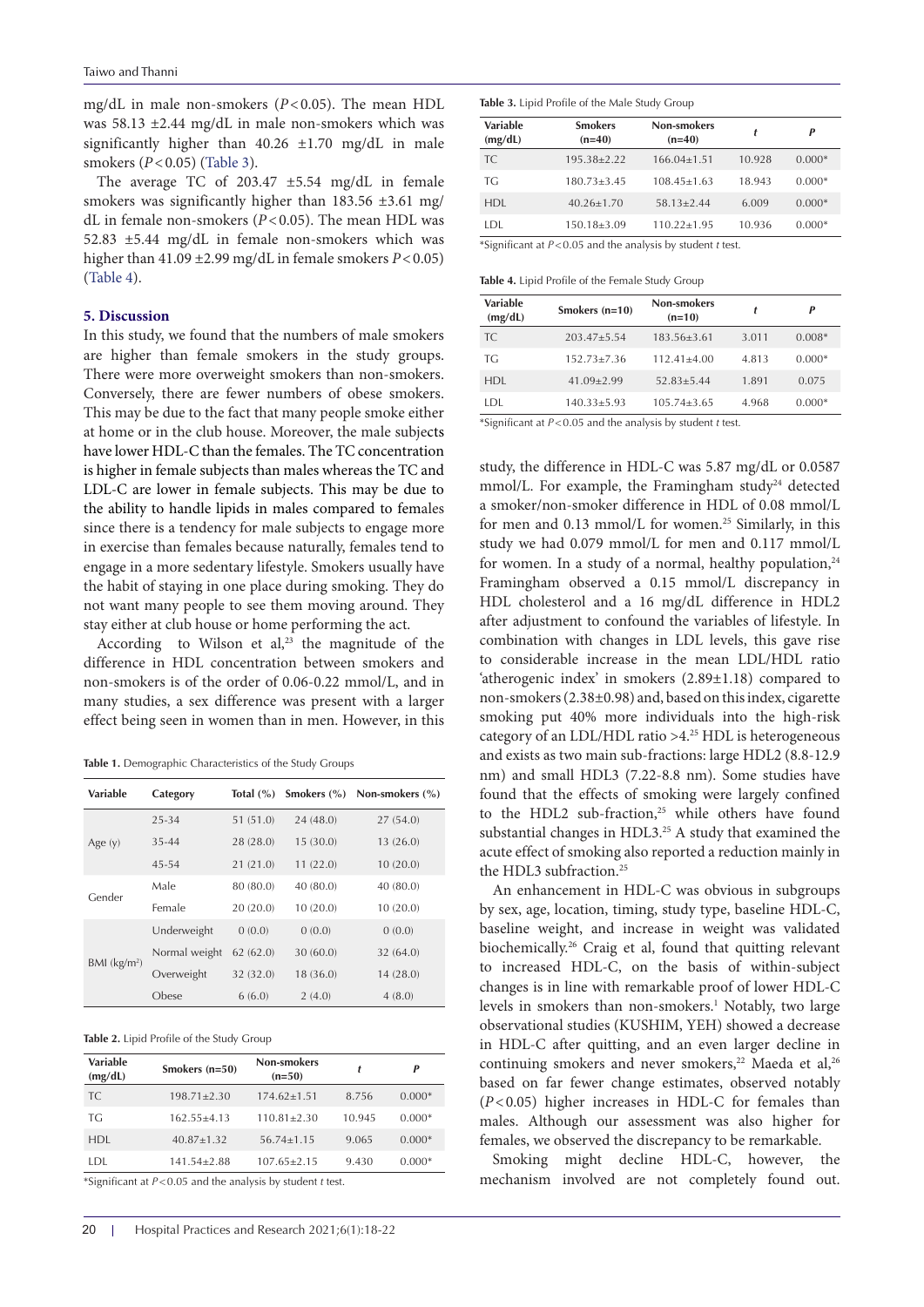mg/dL in male non-smokers (*P*<0.05). The mean HDL was 58.13 ±2.44 mg/dL in male non-smokers which was significantly higher than  $40.26 \pm 1.70$  mg/dL in male smokers (*P*<0.05) [\(Table 3\)](#page-2-2).

The average TC of 203.47 ±5.54 mg/dL in female smokers was significantly higher than 183.56 ±3.61 mg/ dL in female non-smokers (*P*<0.05). The mean HDL was 52.83 ±5.44 mg/dL in female non-smokers which was higher than 41.09 ±2.99 mg/dL in female smokers *P*<0.05) [\(Table 4\)](#page-2-3).

#### **5. Discussion**

In this study, we found that the numbers of male smokers are higher than female smokers in the study groups. There were more overweight smokers than non-smokers. Conversely, there are fewer numbers of obese smokers. This may be due to the fact that many people smoke either at home or in the club house. Moreover, the male subjects have lower HDL-C than the females. The TC concentration is higher in female subjects than males whereas the TC and LDL-C are lower in female subjects. This may be due to the ability to handle lipids in males compared to females since there is a tendency for male subjects to engage more in exercise than females because naturally, females tend to engage in a more sedentary lifestyle. Smokers usually have the habit of staying in one place during smoking. They do not want many people to see them moving around. They stay either at club house or home performing the act.

According to Wilson et  $al^{23}$ , the magnitude of the difference in HDL concentration between smokers and non-smokers is of the order of 0.06-0.22 mmol/L, and in many studies, a sex difference was present with a larger effect being seen in women than in men. However, in this

<span id="page-2-0"></span>**Table 1.** Demographic Characteristics of the Study Groups

| Variable                   | Category      |           | Total $(\% )$ Smokers $(\% )$ | Non-smokers $(\% )$ |
|----------------------------|---------------|-----------|-------------------------------|---------------------|
| Age $(y)$                  | 25-34         | 51(51.0)  | 24(48.0)                      | 27(54.0)            |
|                            | 35-44         | 28 (28.0) | 15(30.0)                      | 13(26.0)            |
|                            | 45-54         | 21(21.0)  | 11(22.0)                      | 10(20.0)            |
| Gender                     | Male          | 80 (80.0) | 40(80.0)                      | 40(80.0)            |
|                            | Female        | 20(20.0)  | 10(20.0)                      | 10(20.0)            |
| $BMI$ (kg/m <sup>2</sup> ) | Underweight   | 0(0.0)    | 0(0.0)                        | 0(0.0)              |
|                            | Normal weight | 62(62.0)  | 30(60.0)                      | 32 (64.0)           |
|                            | Overweight    | 32 (32.0) | 18 (36.0)                     | 14(28.0)            |
|                            | Obese         | 6(6.0)    | 2(4.0)                        | 4(8.0)              |

<span id="page-2-1"></span>**Table 2.** Lipid Profile of the Study Group

| Smokers $(n=50)$  | Non-smokers<br>$(n=50)$ |                                           | P        |
|-------------------|-------------------------|-------------------------------------------|----------|
| $198.71 \pm 2.30$ | $174.62 \pm 1.51$       | 8.756                                     | $0.000*$ |
| $162.55 + 4.13$   | $110.81 + 2.30$         | 10.945                                    | $0.000*$ |
| $40.87 + 1.32$    | $56.74 + 1.15$          | 9.065                                     | $0.000*$ |
| 141.54±2.88       | $107.65 \pm 2.15$       | 9.430                                     | $0.000*$ |
|                   |                         | $*c$ is a contracted the contract of $*c$ |          |

\*Significant at *P*<0.05 and the analysis by student *t* test.

<span id="page-2-2"></span>**Table 3.** Lipid Profile of the Male Study Group

| <b>Variable</b><br>(mg/dL) | <b>Smokers</b><br>$(n=40)$                           | <b>Non-smokers</b><br>$(n=40)$ |        | P        |
|----------------------------|------------------------------------------------------|--------------------------------|--------|----------|
| <b>TC</b>                  | $195.38 \pm 2.22$                                    | $166.04 \pm 1.51$              | 10.928 | $0.000*$ |
| TG                         | $180.73 \pm 3.45$                                    | $108.45 \pm 1.63$              | 18.943 | $0.000*$ |
| <b>HDL</b>                 | $40.26 \pm 1.70$                                     | $58.13 \pm 2.44$               | 6.009  | $0.000*$ |
| LDL                        | $150.18 \pm 3.09$                                    | $110.22 \pm 1.95$              | 10.936 | $0.000*$ |
|                            | $*C: \ldots : C: \ldots \mapsto D \times D \times C$ |                                |        |          |

\*Significant at *P*<0.05 and the analysis by student *t* test.

<span id="page-2-3"></span>**Table 4.** Lipid Profile of the Female Study Group

| Variable<br>(mg/dL) | Smokers $(n=10)$ | Non-smokers<br>$(n=10)$ | t     | p        |
|---------------------|------------------|-------------------------|-------|----------|
| TC.                 | $203.47 + 5.54$  | $183.56 + 3.61$         | 3.011 | $0.008*$ |
| ТG                  | $152.73 + 7.36$  | $112.41 + 4.00$         | 4.813 | $0.000*$ |
| HDI.                | $41.09 + 2.99$   | $52.83 + 5.44$          | 1.891 | 0.075    |
| I DI                | $140.33 + 5.93$  | $105.74 + 3.65$         | 4.968 | $0.000*$ |

\*Significant at *P*<0.05 and the analysis by student *t* test.

study, the difference in HDL-C was 5.87 mg/dL or 0.0587 mmol/L. For example, the Framingham study<sup>24</sup> detected a smoker/non-smoker difference in HDL of 0.08 mmol/L for men and 0.13 mmol/L for women.<sup>25</sup> Similarly, in this study we had 0.079 mmol/L for men and 0.117 mmol/L for women. In a study of a normal, healthy population,<sup>24</sup> Framingham observed a 0.15 mmol/L discrepancy in HDL cholesterol and a 16 mg/dL difference in HDL2 after adjustment to confound the variables of lifestyle. In combination with changes in LDL levels, this gave rise to considerable increase in the mean LDL/HDL ratio 'atherogenic index' in smokers (2.89±1.18) compared to non-smokers (2.38±0.98) and, based on this index, cigarette smoking put 40% more individuals into the high-risk category of an LDL/HDL ratio  $>4.^{25}$  HDL is heterogeneous and exists as two main sub-fractions: large HDL2 (8.8-12.9 nm) and small HDL3 (7.22-8.8 nm). Some studies have found that the effects of smoking were largely confined to the HDL2 sub-fraction,<sup>25</sup> while others have found substantial changes in HDL3.<sup>25</sup> A study that examined the acute effect of smoking also reported a reduction mainly in the HDL3 subfraction.25

An enhancement in HDL-C was obvious in subgroups by sex, age, location, timing, study type, baseline HDL-C, baseline weight, and increase in weight was validated biochemically.26 Craig et al, found that quitting relevant to increased HDL-C, on the basis of within-subject changes is in line with remarkable proof of lower HDL-C levels in smokers than non-smokers.<sup>1</sup> Notably, two large observational studies (KUSHIM, YEH) showed a decrease in HDL-C after quitting, and an even larger decline in continuing smokers and never smokers,<sup>22</sup> Maeda et al,<sup>26</sup> based on far fewer change estimates, observed notably (*P*<0.05) higher increases in HDL-C for females than males. Although our assessment was also higher for females, we observed the discrepancy to be remarkable.

Smoking might decline HDL-C, however, the mechanism involved are not completely found out.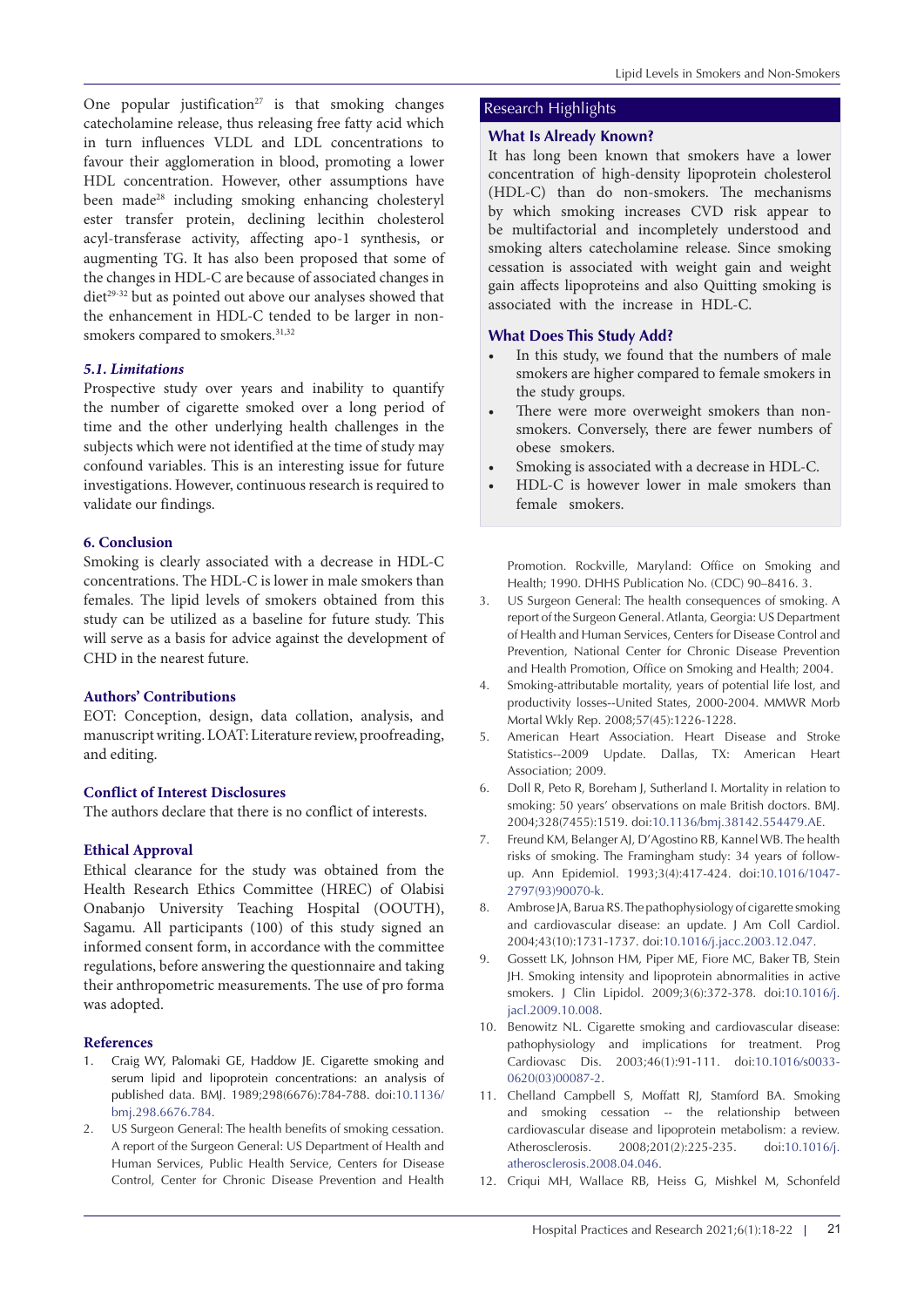One popular justification<sup>27</sup> is that smoking changes catecholamine release, thus releasing free fatty acid which in turn influences VLDL and LDL concentrations to favour their agglomeration in blood, promoting a lower HDL concentration. However, other assumptions have been made<sup>28</sup> including smoking enhancing cholesteryl ester transfer protein, declining lecithin cholesterol acyl-transferase activity, affecting apo-1 synthesis, or augmenting TG. It has also been proposed that some of the changes in HDL-C are because of associated changes in diet<sup>29-32</sup> but as pointed out above our analyses showed that the enhancement in HDL-C tended to be larger in nonsmokers compared to smokers.<sup>31,32</sup>

#### *5.1. Limitations*

Prospective study over years and inability to quantify the number of cigarette smoked over a long period of time and the other underlying health challenges in the subjects which were not identified at the time of study may confound variables. This is an interesting issue for future investigations. However, continuous research is required to validate our findings.

#### **6. Conclusion**

Smoking is clearly associated with a decrease in HDL-C concentrations. The HDL-C is lower in male smokers than females. The lipid levels of smokers obtained from this study can be utilized as a baseline for future study. This will serve as a basis for advice against the development of CHD in the nearest future.

#### **Authors' Contributions**

EOT: Conception, design, data collation, analysis, and manuscript writing. LOAT: Literature review, proofreading, and editing.

#### **Conflict of Interest Disclosures**

The authors declare that there is no conflict of interests.

#### **Ethical Approval**

Ethical clearance for the study was obtained from the Health Research Ethics Committee (HREC) of Olabisi Onabanjo University Teaching Hospital (OOUTH), Sagamu. All participants (100) of this study signed an informed consent form, in accordance with the committee regulations, before answering the questionnaire and taking their anthropometric measurements. The use of pro forma was adopted.

#### **References**

- 1. Craig WY, Palomaki GE, Haddow JE. Cigarette smoking and serum lipid and lipoprotein concentrations: an analysis of published data. BMJ. 1989;298(6676):784-788. doi[:10.1136/](https://doi.org/10.1136/bmj.298.6676.784) [bmj.298.6676.784](https://doi.org/10.1136/bmj.298.6676.784).
- 2. US Surgeon General: The health benefits of smoking cessation. A report of the Surgeon General: US Department of Health and Human Services, Public Health Service, Centers for Disease Control, Center for Chronic Disease Prevention and Health

## Research Highlights

### **What Is Already Known?**

It has long been known that smokers have a lower concentration of high-density lipoprotein cholesterol (HDL-C) than do non-smokers. The mechanisms by which smoking increases CVD risk appear to be multifactorial and incompletely understood and smoking alters catecholamine release. Since smoking cessation is associated with weight gain and weight gain affects lipoproteins and also Quitting smoking is associated with the increase in HDL-C.

## **What Does This Study Add?**

- In this study, we found that the numbers of male smokers are higher compared to female smokers in the study groups.
- There were more overweight smokers than nonsmokers. Conversely, there are fewer numbers of obese smokers.
- Smoking is associated with a decrease in HDL-C.
- HDL-C is however lower in male smokers than female smokers.

Promotion. Rockville, Maryland: Office on Smoking and Health; 1990. DHHS Publication No. (CDC) 90–8416. 3.

- 3. US Surgeon General: The health consequences of smoking. A report of the Surgeon General. Atlanta, Georgia: US Department of Health and Human Services, Centers for Disease Control and Prevention, National Center for Chronic Disease Prevention and Health Promotion, Office on Smoking and Health; 2004.
- 4. Smoking-attributable mortality, years of potential life lost, and productivity losses--United States, 2000-2004. MMWR Morb Mortal Wkly Rep. 2008;57(45):1226-1228.
- 5. American Heart Association. Heart Disease and Stroke Statistics--2009 Update. Dallas, TX: American Heart Association; 2009.
- 6. Doll R, Peto R, Boreham J, Sutherland I. Mortality in relation to smoking: 50 years' observations on male British doctors. BMJ. 2004;328(7455):1519. doi[:10.1136/bmj.38142.554479.AE.](https://doi.org/10.1136/bmj.38142.554479.AE)
- 7. Freund KM, Belanger AJ, D'Agostino RB, Kannel WB. The health risks of smoking. The Framingham study: 34 years of followup. Ann Epidemiol. 1993;3(4):417-424. doi:[10.1016/1047-](https://doi.org/10.1016/1047-2797(93)90070-k) [2797\(93\)90070-k](https://doi.org/10.1016/1047-2797(93)90070-k).
- 8. Ambrose JA, Barua RS. The pathophysiology of cigarette smoking and cardiovascular disease: an update. J Am Coll Cardiol. 2004;43(10):1731-1737. doi[:10.1016/j.jacc.2003.12.047](https://doi.org/10.1016/j.jacc.2003.12.047).
- 9. Gossett LK, Johnson HM, Piper ME, Fiore MC, Baker TB, Stein JH. Smoking intensity and lipoprotein abnormalities in active smokers. J Clin Lipidol. 2009;3(6):372-378. doi:[10.1016/j.](https://doi.org/10.1016/j.jacl.2009.10.008) [jacl.2009.10.008](https://doi.org/10.1016/j.jacl.2009.10.008).
- 10. Benowitz NL. Cigarette smoking and cardiovascular disease: pathophysiology and implications for treatment. Prog Cardiovasc Dis. 2003;46(1):91-111. doi:[10.1016/s0033-](https://doi.org/10.1016/s0033-0620(03)00087-2) [0620\(03\)00087-2](https://doi.org/10.1016/s0033-0620(03)00087-2).
- 11. Chelland Campbell S, Moffatt RJ, Stamford BA. Smoking and smoking cessation -- the relationship between cardiovascular disease and lipoprotein metabolism: a review. Atherosclerosis. 2008;201(2):225-235. doi:[10.1016/j.](https://doi.org/10.1016/j.atherosclerosis.2008.04.046) [atherosclerosis.2008.04.046](https://doi.org/10.1016/j.atherosclerosis.2008.04.046).
- 12. Criqui MH, Wallace RB, Heiss G, Mishkel M, Schonfeld